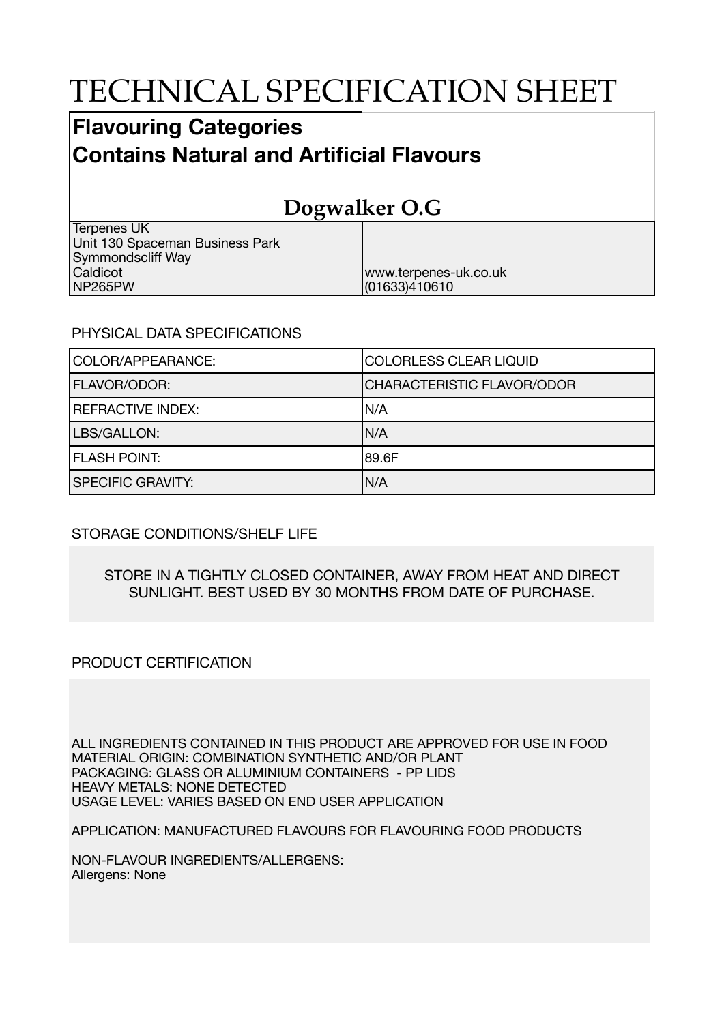# TECHNICAL SPECIFICATION SHEET

## **Flavouring Categories Contains Natural and Artificial Flavours**

## **Dogwalker O.G**

www.terpenes-uk.co.uk

(01633)410610

| Terpenes UK                     |
|---------------------------------|
| Unit 130 Spaceman Business Park |
| <b>Symmondscliff Way</b>        |
| Caldicot                        |
| NP265PW                         |

#### PHYSICAL DATA SPECIFICATIONS

| COLOR/APPEARANCE:        | <b>COLORLESS CLEAR LIQUID</b>     |  |
|--------------------------|-----------------------------------|--|
| <b>FLAVOR/ODOR:</b>      | <b>CHARACTERISTIC FLAVOR/ODOR</b> |  |
| <b>REFRACTIVE INDEX:</b> | IN/A                              |  |
| LBS/GALLON:              | IN/A                              |  |
| <b>FLASH POINT:</b>      | 189.6F                            |  |
| <b>SPECIFIC GRAVITY:</b> | N/A                               |  |

### STORAGE CONDITIONS/SHELF LIFE

#### STORE IN A TIGHTLY CLOSED CONTAINER, AWAY FROM HEAT AND DIRECT SUNLIGHT. BEST USED BY 30 MONTHS FROM DATE OF PURCHASE.

### PRODUCT CERTIFICATION

ALL INGREDIENTS CONTAINED IN THIS PRODUCT ARE APPROVED FOR USE IN FOOD MATERIAL ORIGIN: COMBINATION SYNTHETIC AND/OR PLANT PACKAGING: GLASS OR ALUMINIUM CONTAINERS - PP LIDS HEAVY METALS: NONE DETECTED USAGE LEVEL: VARIES BASED ON END USER APPLICATION

#### APPLICATION: MANUFACTURED FLAVOURS FOR FLAVOURING FOOD PRODUCTS

NON-FLAVOUR INGREDIENTS/ALLERGENS: Allergens: None